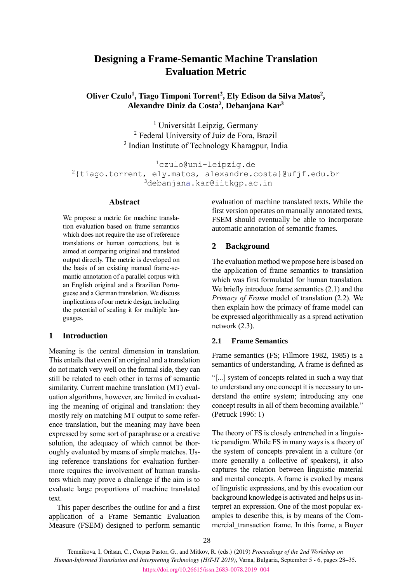# **Designing a Frame-Semantic Machine Translation Evaluation Metric**

**Oliver Czulo<sup>1</sup> , Tiago Timponi Torrent<sup>2</sup> , Ely Edison da Silva Matos<sup>2</sup> , Alexandre Diniz da Costa<sup>2</sup> , Debanjana Kar<sup>3</sup>**

> <sup>1</sup> Universität Leipzig, Germany <sup>2</sup> Federal University of Juiz de Fora, Brazil <sup>3</sup> Indian Institute of Technology Kharagpur, India

```
1czulo@uni-leipzig.de
2{tiago.torrent, ely.matos, alexandre.costa}@ufjf.edu.br
               3debanjana.kar@iitkgp.ac.in
```
### **Abstract**

We propose a metric for machine translation evaluation based on frame semantics which does not require the use of reference translations or human corrections, but is aimed at comparing original and translated output directly. The metric is developed on the basis of an existing manual frame-semantic annotation of a parallel corpus with an English original and a Brazilian Portuguese and a German translation. We discuss implications of our metric design, including the potential of scaling it for multiple languages.

#### **1 Introduction**

Meaning is the central dimension in translation. This entails that even if an original and a translation do not match very well on the formal side, they can still be related to each other in terms of semantic similarity. Current machine translation (MT) evaluation algorithms, however, are limited in evaluating the meaning of original and translation: they mostly rely on matching MT output to some reference translation, but the meaning may have been expressed by some sort of paraphrase or a creative solution, the adequacy of which cannot be thoroughly evaluated by means of simple matches. Using reference translations for evaluation furthermore requires the involvement of human translators which may prove a challenge if the aim is to evaluate large proportions of machine translated text.

This paper describes the outline for and a first application of a Frame Semantic Evaluation Measure (FSEM) designed to perform semantic

evaluation of machine translated texts. While the first version operates on manually annotated texts, FSEM should eventually be able to incorporate automatic annotation of semantic frames.

#### **2 Background**

The evaluation method we propose here is based on the application of frame semantics to translation which was first formulated for human translation. We briefly introduce frame semantics (2.1) and the *Primacy of Frame* model of translation (2.2). We then explain how the primacy of frame model can be expressed algorithmically as a spread activation network (2.3).

#### **2.1 Frame Semantics**

Frame semantics (FS; Fillmore 1982, 1985) is a semantics of understanding. A frame is defined as

"[...] system of concepts related in such a way that to understand any one concept it is necessary to understand the entire system; introducing any one concept results in all of them becoming available." (Petruck 1996: 1)

The theory of FS is closely entrenched in a linguistic paradigm. While FS in many ways is a theory of the system of concepts prevalent in a culture (or more generally a collective of speakers), it also captures the relation between linguistic material and mental concepts. A frame is evoked by means of linguistic expressions, and by this evocation our background knowledge is activated and helps us interpret an expression. One of the most popular examples to describe this, is by means of the Commercial transaction frame. In this frame, a Buyer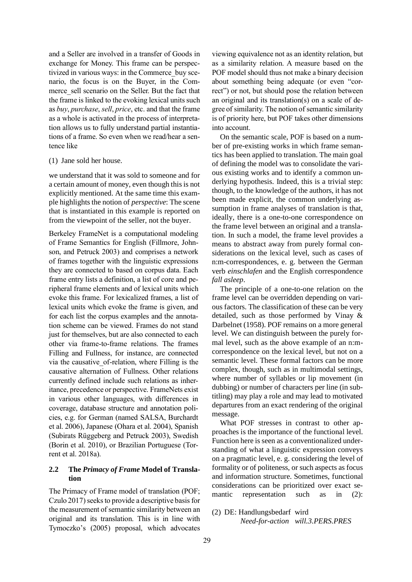and a Seller are involved in a transfer of Goods in exchange for Money. This frame can be perspectivized in various ways: in the Commerce\_buy scenario, the focus is on the Buyer, in the Commerce sell scenario on the Seller. But the fact that the frame is linked to the evoking lexical units such as *buy*, *purchase*, *sell*, *price*, etc. and that the frame as a whole is activated in the process of interpretation allows us to fully understand partial instantiations of a frame. So even when we read/hear a sentence like

#### (1) Jane sold her house.

we understand that it was sold to someone and for a certain amount of money, even though this is not explicitly mentioned. At the same time this example highlights the notion of *perspective*: The scene that is instantiated in this example is reported on from the viewpoint of the seller, not the buyer.

Berkeley FrameNet is a computational modeling of Frame Semantics for English (Fillmore, Johnson, and Petruck 2003) and comprises a network of frames together with the linguistic expressions they are connected to based on corpus data. Each frame entry lists a definition, a list of core and peripheral frame elements and of lexical units which evoke this frame. For lexicalized frames, a list of lexical units which evoke the frame is given, and for each list the corpus examples and the annotation scheme can be viewed. Frames do not stand just for themselves, but are also connected to each other via frame-to-frame relations. The frames Filling and Fullness, for instance, are connected via the causative\_of-relation, where Filling is the causative alternation of Fullness. Other relations currently defined include such relations as inheritance, precedence or perspective. FrameNets exist in various other languages, with differences in coverage, database structure and annotation policies, e.g. for German (named SALSA, Burchardt et al. 2006), Japanese (Ohara et al. 2004), Spanish (Subirats Rüggeberg and Petruck 2003), Swedish (Borin et al. 2010), or Brazilian Portuguese (Torrent et al. 2018a).

### **2.2 The** *Primacy of Frame* **Model of Translation**

The Primacy of Frame model of translation (POF; Czulo 2017) seeks to provide a descriptive basis for the measurement of semantic similarity between an original and its translation. This is in line with Tymoczko's (2005) proposal, which advocates

viewing equivalence not as an identity relation, but as a similarity relation. A measure based on the POF model should thus not make a binary decision about something being adequate (or even "correct") or not, but should pose the relation between an original and its translation(s) on a scale of degree of similarity. The notion of semantic similarity is of priority here, but POF takes other dimensions into account.

On the semantic scale, POF is based on a number of pre-existing works in which frame semantics has been applied to translation. The main goal of defining the model was to consolidate the various existing works and to identify a common underlying hypothesis. Indeed, this is a trivial step: though, to the knowledge of the authors, it has not been made explicit, the common underlying assumption in frame analyses of translation is that, ideally, there is a one-to-one correspondence on the frame level between an original and a translation. In such a model, the frame level provides a means to abstract away from purely formal considerations on the lexical level, such as cases of n:m-correspondences, e. g. between the German verb *einschlafen* and the English correspondence *fall asleep*.

The principle of a one-to-one relation on the frame level can be overridden depending on various factors. The classification of these can be very detailed, such as those performed by Vinay & Darbelnet (1958). POF remains on a more general level. We can distinguish between the purely formal level, such as the above example of an n:mcorrespondence on the lexical level, but not on a semantic level. These formal factors can be more complex, though, such as in multimodal settings, where number of syllables or lip movement (in dubbing) or number of characters per line (in subtitling) may play a role and may lead to motivated departures from an exact rendering of the original message.

What POF stresses in contrast to other approaches is the importance of the functional level. Function here is seen as a conventionalized understanding of what a linguistic expression conveys on a pragmatic level, e. g. considering the level of formality or of politeness, or such aspects as focus and information structure. Sometimes, functional considerations can be prioritized over exact semantic representation such as in (2):

(2) DE: Handlungsbedarf wird *Need-for-action will.3.PERS.PRES*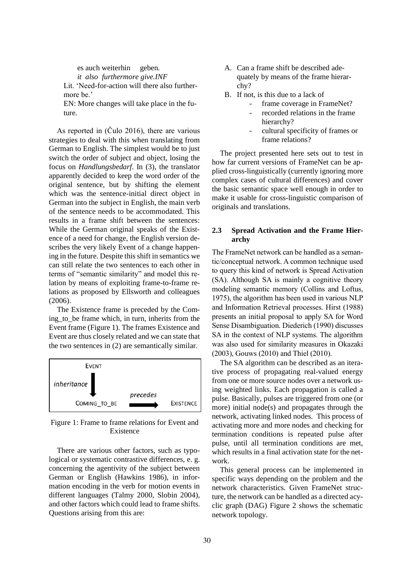es auch weiterhin geben. *it also furthermore give.INF* Lit. 'Need-for-action will there also furthermore be.' EN: More changes will take place in the fu-

ture.

As reported in (Čulo 2016), there are various strategies to deal with this when translating from German to English. The simplest would be to just switch the order of subject and object, losing the focus on *Handlungsbedarf*. In (3), the translator apparently decided to keep the word order of the original sentence, but by shifting the element which was the sentence-initial direct object in German into the subject in English, the main verb of the sentence needs to be accommodated. This results in a frame shift between the sentences: While the German original speaks of the Existence of a need for change, the English version describes the very likely Event of a change happening in the future. Despite this shift in semantics we can still relate the two sentences to each other in terms of "semantic similarity" and model this relation by means of exploiting frame-to-frame relations as proposed by Ellsworth and colleagues (2006).

The Existence frame is preceded by the Coming\_to\_be frame which, in turn, inherits from the Event frame [\(Figure 1\)](#page-2-0). The frames Existence and Event are thus closely related and we can state that the two sentences in (2) are semantically similar.



<span id="page-2-0"></span>Figure 1: Frame to frame relations for Event and Existence

There are various other factors, such as typological or systematic contrastive differences, e. g. concerning the agentivity of the subject between German or English (Hawkins 1986), in information encoding in the verb for motion events in different languages (Talmy 2000, Slobin 2004), and other factors which could lead to frame shifts. Questions arising from this are:

- A. Can a frame shift be described adequately by means of the frame hierarchy?
- B. If not, is this due to a lack of
	- frame coverage in FrameNet?
		- recorded relations in the frame hierarchy?
		- cultural specificity of frames or frame relations?

The project presented here sets out to test in how far current versions of FrameNet can be applied cross-linguistically (currently ignoring more complex cases of cultural differences) and cover the basic semantic space well enough in order to make it usable for cross-linguistic comparison of originals and translations.

### **2.3 Spread Activation and the Frame Hierarchy**

The FrameNet network can be handled as a semantic/conceptual network. A common technique used to query this kind of network is Spread Activation (SA). Although SA is mainly a cognitive theory modeling semantic memory (Collins and Loftus, 1975), the algorithm has been used in various NLP and Information Retrieval processes. Hirst (1988) presents an initial proposal to apply SA for Word Sense Disambiguation. Diederich (1990) discusses SA in the context of NLP systems. The algorithm was also used for similarity measures in Okazaki (2003), Gouws (2010) and Thiel (2010).

The SA algorithm can be described as an iterative process of propagating real-valued energy from one or more source nodes over a network using weighted links. Each propagation is called a pulse. Basically, pulses are triggered from one (or more) initial node(s) and propagates through the network, activating linked nodes. This process of activating more and more nodes and checking for termination conditions is repeated pulse after pulse, until all termination conditions are met, which results in a final activation state for the network.

This general process can be implemented in specific ways depending on the problem and the network characteristics. Given FrameNet structure, the network can be handled as a directed acyclic graph (DAG) [Figure 2](#page-3-0) shows the schematic network topology.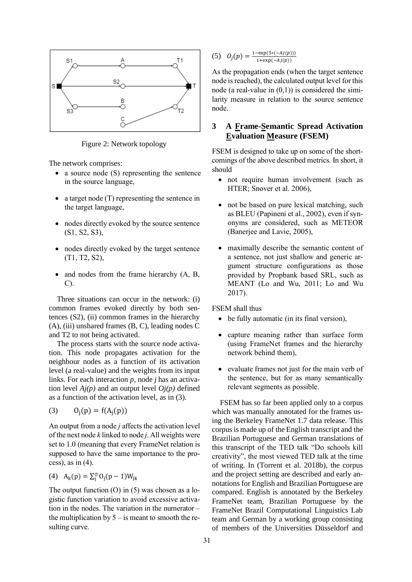

<span id="page-3-0"></span>Figure 2: Network topology

The network comprises:

- a source node (S) representing the sentence in the source language,
- a target node (T) representing the sentence in the target language,
- nodes directly evoked by the source sentence (S1, S2, S3),
- nodes directly evoked by the target sentence (T1, T2, S2),
- and nodes from the frame hierarchy (A, B, C).

Three situations can occur in the network: (i) common frames evoked directly by both sentences (S2), (ii) common frames in the hierarchy (A), (iii) unshared frames (B, C), leading nodes C and T2 to not being activated.

The process starts with the source node activation. This node propagates activation for the neighbour nodes as a function of its activation level (a real-value) and the weights from its input links. For each interaction *p*, node *j* has an activation level *Aj(p)* and an output level *Oj(p)* defined as a function of the activation level, as in (3).

(3) 
$$
O_j(p) = f(A_j(p))
$$

An output from a node *j* affects the activation level of the next node *k* linked to node *j*. All weights were set to 1.0 (meaning that every FrameNet relation is supposed to have the same importance to the process), as in  $(4)$ .

(4) 
$$
A_k(p) = \sum_{j=0}^{n} 0_j(p-1)W_{jk}
$$

The output function  $(O)$  in  $(5)$  was chosen as a logistic function variation to avoid excessive activation in the nodes. The variation in the numerator – the multiplication by  $5 -$  is meant to smooth the resulting curve.

(5)  $Q_j(p) = \frac{1-\exp(5*(-A_j(p)))}{1+\exp(-A_j(p))}$  $1+exp(-Aj(p))$ 

As the propagation ends (when the target sentence node is reached), the calculated output level for this node (a real-value in  $(0,1)$ ) is considered the similarity measure in relation to the source sentence node.

# **3 A Frame-Semantic Spread Activation Evaluation Measure (FSEM)**

FSEM is designed to take up on some of the shortcomings of the above described metrics. In short, it should

- not require human involvement (such as HTER; Snover et al. 2006),
- not be based on pure lexical matching, such as BLEU (Papineni et al., 2002), even if synonyms are considered, such as METEOR (Banerjee and Lavie, 2005),
- maximally describe the semantic content of a sentence, not just shallow and generic argument structure configurations as those provided by Propbank based SRL, such as MEANT (Lo and Wu, 2011; Lo and Wu 2017).

FSEM shall thus

- be fully automatic (in its final version),
- capture meaning rather than surface form (using FrameNet frames and the hierarchy network behind them),
- evaluate frames not just for the main verb of the sentence, but for as many semantically relevant segments as possible.

FSEM has so far been applied only to a corpus which was manually annotated for the frames using the Berkeley FrameNet 1.7 data release. This corpus is made up of the English transcript and the Brazilian Portuguese and German translations of this transcript of the TED talk "Do schools kill creativity", the most viewed TED talk at the time of writing. In (Torrent et al. 2018b), the corpus and the project setting are described and early annotations for English and Brazilian Portuguese are compared. English is annotated by the Berkeley FrameNet team, Brazilian Portuguese by the FrameNet Brazil Computational Linguistics Lab team and German by a working group consisting of members of the Universities Düsseldorf and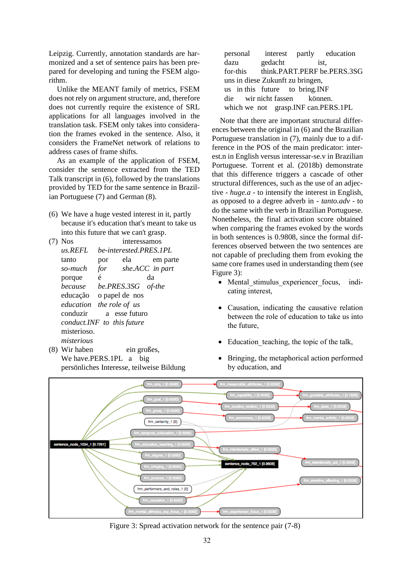Leipzig. Currently, annotation standards are harmonized and a set of sentence pairs has been prepared for developing and tuning the FSEM algorithm.

Unlike the MEANT family of metrics, FSEM does not rely on argument structure, and, therefore does not currently require the existence of SRL applications for all languages involved in the translation task. FSEM only takes into consideration the frames evoked in the sentence. Also, it considers the FrameNet network of relations to address cases of frame shifts.

As an example of the application of FSEM, consider the sentence extracted from the TED Talk transcript in [\(6\),](#page-4-0) followed by the translations provided by TED for the same sentence in Brazilian Portuguese [\(7\)](#page-4-1) and German [\(8\).](#page-4-2)

- <span id="page-4-0"></span>(6) We have a huge vested interest in it, partly because it's education that's meant to take us into this future that we can't grasp.
- <span id="page-4-1"></span>(7) Nos interessamos *us.REFL be-interested.PRES.1PL* tanto por ela em parte *so-much for she.ACC in part* porque é da *because be.PRES.3SG of-the* educação o papel de nos *education the role of us* conduzir a esse futuro *conduct.INF to this future* misterioso. *misterious*
- <span id="page-4-2"></span>(8) Wir haben ein großes, We have.PERS.1PL a big persönliches Interesse, teilweise Bildung

|                                        |                                      |  | personal interest partly education |
|----------------------------------------|--------------------------------------|--|------------------------------------|
| dazu gedacht                           |                                      |  | ist,                               |
|                                        | for-this think.PART.PERF be.PERS.3SG |  |                                    |
| uns in diese Zukunft zu bringen,       |                                      |  |                                    |
| us in this future to bring. INF        |                                      |  |                                    |
| die wir nicht fassen können.           |                                      |  |                                    |
| which we not grasp. INF can. PERS. 1PL |                                      |  |                                    |

Note that there are important structural differences between the original in [\(6\)](#page-4-0) and the Brazilian Portuguese translation in [\(7\),](#page-4-1) mainly due to a difference in the POS of the main predicator: interest.n in English versus interessar-se.v in Brazilian Portuguese. Torrent et al. (2018b) demonstrate that this difference triggers a cascade of other structural differences, such as the use of an adjective - *huge.a* - to intensify the interest in English, as opposed to a degree adverb in - *tanto.adv* - to do the same with the verb in Brazilian Portuguese. Nonetheless, the final activation score obtained when comparing the frames evoked by the words in both sentences is 0.9808, since the formal differences observed between the two sentences are not capable of precluding them from evoking the same core frames used in understanding them (see [Figure 3\)](#page-4-3):

- Mental stimulus experiencer focus, indicating interest,
- Causation, indicating the causative relation between the role of education to take us into the future,
- Education\_teaching, the topic of the talk,
- Bringing, the metaphorical action performed by education, and



<span id="page-4-3"></span>Figure 3: Spread activation network for the sentence pair (7-8)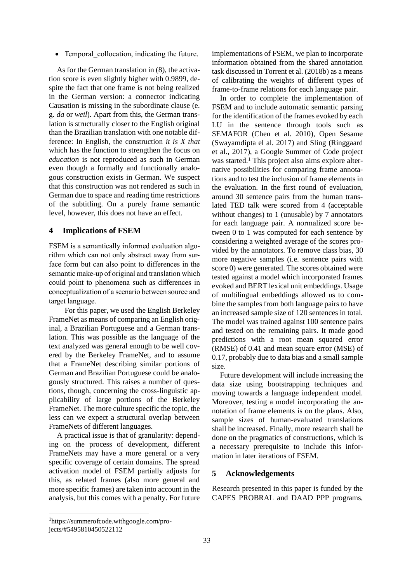• Temporal collocation, indicating the future.

As for the German translation in [\(8\),](#page-4-2) the activation score is even slightly higher with 0.9899, despite the fact that one frame is not being realized in the German version: a connector indicating Causation is missing in the subordinate clause (e. g. *da* or *weil*). Apart from this, the German translation is structurally closer to the English original than the Brazilian translation with one notable difference: In English, the construction *it is X that* which has the function to strengthen the focus on *education* is not reproduced as such in German even though a formally and functionally analogous construction exists in German. We suspect that this construction was not rendered as such in German due to space and reading time restrictions of the subtitling. On a purely frame semantic level, however, this does not have an effect.

## **4 Implications of FSEM**

FSEM is a semantically informed evaluation algorithm which can not only abstract away from surface form but can also point to differences in the semantic make-up of original and translation which could point to phenomena such as differences in conceptualization of a scenario between source and target language.

 For this paper, we used the English Berkeley FrameNet as means of comparing an English original, a Brazilian Portuguese and a German translation. This was possible as the language of the text analyzed was general enough to be well covered by the Berkeley FrameNet, and to assume that a FrameNet describing similar portions of German and Brazilian Portuguese could be analogously structured. This raises a number of questions, though, concerning the cross-linguistic applicability of large portions of the Berkeley FrameNet. The more culture specific the topic, the less can we expect a structural overlap between FrameNets of different languages.

A practical issue is that of granularity: depending on the process of development, different FrameNets may have a more general or a very specific coverage of certain domains. The spread activation model of FSEM partially adjusts for this, as related frames (also more general and more specific frames) are taken into account in the analysis, but this comes with a penalty. For future

implementations of FSEM, we plan to incorporate information obtained from the shared annotation task discussed in Torrent et al. (2018b) as a means of calibrating the weights of different types of frame-to-frame relations for each language pair.

In order to complete the implementation of FSEM and to include automatic semantic parsing for the identification of the frames evoked by each LU in the sentence through tools such as SEMAFOR (Chen et al. 2010), Open Sesame (Swayamdipta el al. 2017) and Sling (Ringgaard et al., 2017), a Google Summer of Code project was started.<sup>1</sup> This project also aims explore alternative possibilities for comparing frame annotations and to test the inclusion of frame elements in the evaluation. In the first round of evaluation, around 30 sentence pairs from the human translated TED talk were scored from 4 (acceptable without changes) to 1 (unusable) by 7 annotators for each language pair. A normalized score between 0 to 1 was computed for each sentence by considering a weighted average of the scores provided by the annotators. To remove class bias, 30 more negative samples (i.e. sentence pairs with score 0) were generated. The scores obtained were tested against a model which incorporated frames evoked and BERT lexical unit embeddings. Usage of multilingual embeddings allowed us to combine the samples from both language pairs to have an increased sample size of 120 sentences in total. The model was trained against 100 sentence pairs and tested on the remaining pairs. It made good predictions with a root mean squared error (RMSE) of 0.41 and mean square error (MSE) of 0.17, probably due to data bias and a small sample size.

Future development will include increasing the data size using bootstrapping techniques and moving towards a language independent model. Moreover, testing a model incorporating the annotation of frame elements is on the plans. Also, sample sizes of human-evaluated translations shall be increased. Finally, more research shall be done on the pragmatics of constructions, which is a necessary prerequisite to include this information in later iterations of FSEM.

## **5 Acknowledgements**

Research presented in this paper is funded by the CAPES PROBRAL and DAAD PPP programs,

<sup>1</sup>https://summerofcode.withgoogle.com/projects/#5495810450522112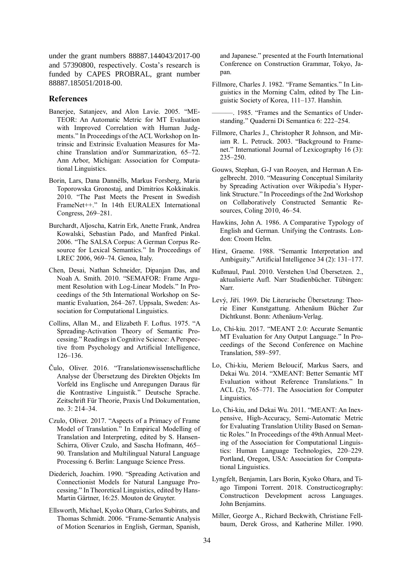under the grant numbers 88887.144043/2017-00 and 57390800, respectively. Costa's research is funded by CAPES PROBRAL, grant number 88887.185051/2018-00.

#### **References**

- Banerjee, Satanjeev, and Alon Lavie. 2005. "ME-TEOR: An Automatic Metric for MT Evaluation with Improved Correlation with Human Judgments." In Proceedings of the ACL Workshop on Intrinsic and Extrinsic Evaluation Measures for Machine Translation and/or Summarization, 65–72. Ann Arbor, Michigan: Association for Computational Linguistics[.](https://www.aclweb.org/anthology/W05-0909)
- Borin, Lars, Dana Dannélls, Markus Forsberg, Maria Toporowska Gronostaj, and Dimitrios Kokkinakis. 2010. "The Past Meets the Present in Swedish FrameNet++." In 14th EURALEX International Congress, 269–281.
- Burchardt, Aljoscha, Katrin Erk, Anette Frank, Andrea Kowalski, Sebastian Pado, and Manfred Pinkal. 2006. "The SALSA Corpus: A German Corpus Resource for Lexical Semantics." In Proceedings of LREC 2006, 969–74. Genoa, Italy.
- Chen, Desai, Nathan Schneider, Dipanjan Das, and Noah A. Smith. 2010. "SEMAFOR: Frame Argument Resolution with Log-Linear Models." In Proceedings of the 5th International Workshop on Semantic Evaluation, 264–267. Uppsala, Sweden: Association for Computational Linguistic[s.](https://www.aclweb.org/anthology/S10-1059)
- Collins, Allan M., and Elizabeth F. Loftus. 1975. "A Spreading-Activation Theory of Semantic Processing." Readings in Cognitive Science: A Perspective from Psychology and Artificial Intelligence, 126–136.
- Čulo, Oliver. 2016. "Translationswissenschaftliche Analyse der Übersetzung des Direkten Objekts Im Vorfeld ins Englische und Anregungen Daraus für die Kontrastive Linguistik." Deutsche Sprache. Zeitschrift Für Theorie, Praxis Und Dokumentation, no. 3: 214–34.
- Czulo, Oliver. 2017. "Aspects of a Primacy of Frame Model of Translation." In Empirical Modelling of Translation and Interpreting, edited by S. Hansen-Schirra, Oliver Czulo, and Sascha Hofmann, 465– 90. Translation and Multilingual Natural Language Processing 6. Berlin: Language Science Press.
- Diederich, Joachim. 1990. "Spreading Activation and Connectionist Models for Natural Language Processing." In Theoretical Linguistics, edited by Hans-Martin Gärtner, 16:25. Mouton de Gruyter[.](https://doi.org/10.1515/thli.1990.16.1.25)
- Ellsworth, Michael, Kyoko Ohara, Carlos Subirats, and Thomas Schmidt. 2006. "Frame-Semantic Analysis of Motion Scenarios in English, German, Spanish,

and Japanese." presented at the Fourth International Conference on Construction Grammar, Tokyo, Japan.

- Fillmore, Charles J. 1982. "Frame Semantics." In Linguistics in the Morning Calm, edited by The Linguistic Society of Korea, 111–137. Hanshin.
- ———. 1985. "Frames and the Semantics of Understanding." Quaderni Di Semantica 6: 222–254.
- Fillmore, Charles J., Christopher R Johnson, and Miriam R. L. Petruck. 2003. "Background to Framenet." International Journal of Lexicography 16 (3): 235–250.
- Gouws, Stephan, G-J van Rooyen, and Herman A Engelbrecht. 2010. "Measuring Conceptual Similarity by Spreading Activation over Wikipedia's Hyperlink Structure." In Proceedings of the 2nd Workshop on Collaboratively Constructed Semantic Resources, Coling 2010, 46–54.
- Hawkins, John A. 1986. A Comparative Typology of English and German. Unifying the Contrasts. London: Croom Helm.
- Hirst, Graeme. 1988. "Semantic Interpretation and Ambiguity." Artificial Intelligence 34 (2): 131–17[7.](https://doi.org/10.1016/0004-3702(88)90037-9)
- Kußmaul, Paul. 2010. Verstehen Und Übersetzen. 2., aktualisierte Aufl. Narr Studienbücher. Tübingen: Narr.
- Levý, Jiří. 1969. Die Literarische Übersetzung: Theorie Einer Kunstgattung. Athenäum Bücher Zur Dichtkunst. Bonn: Athenäum-Verlag.
- Lo, Chi-kiu. 2017. "MEANT 2.0: Accurate Semantic MT Evaluation for Any Output Language." In Proceedings of the Second Conference on Machine Translation, 589–597.
- Lo, Chi-kiu, Meriem Beloucif, Markus Saers, and Dekai Wu. 2014. "XMEANT: Better Semantic MT Evaluation without Reference Translations." In ACL (2), 765–771. The Association for Computer Linguistics.
- Lo, Chi-kiu, and Dekai Wu. 2011. "MEANT: An Inexpensive, High-Accuracy, Semi-Automatic Metric for Evaluating Translation Utility Based on Semantic Roles." In Proceedings of the 49th Annual Meeting of the Association for Computational Linguistics: Human Language Technologies, 220–229. Portland, Oregon, USA: Association for Computational Linguistic[s.](https://www.aclweb.org/anthology/P11-1023)
- Lyngfelt, Benjamin, Lars Borin, Kyoko Ohara, and Tiago Timponi Torrent. 2018. Constructicography: Constructicon Development across Languages. John Benjamins.
- Miller, George A., Richard Beckwith, Christiane Fellbaum, Derek Gross, and Katherine Miller. 1990.